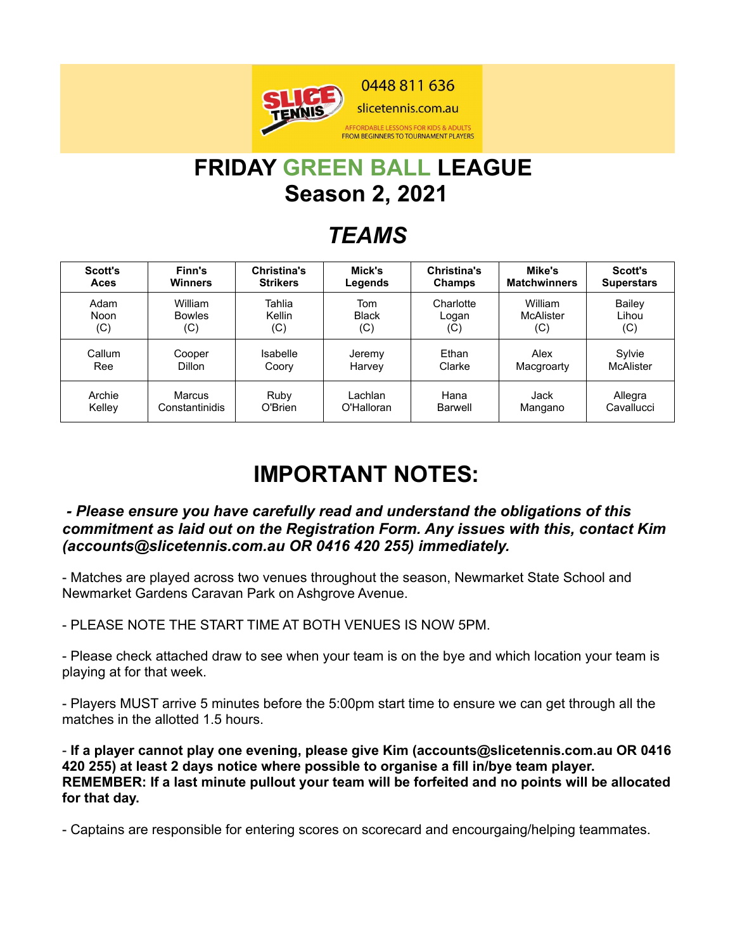

# **FRIDAY GREEN BALL LEAGUE Season 2, 2021**

### *TEAMS*

| <b>Scott's</b> | Finn's         | <b>Christina's</b> | Mick's       | <b>Christina's</b> | Mike's              | <b>Scott's</b>    |
|----------------|----------------|--------------------|--------------|--------------------|---------------------|-------------------|
| Aces           | <b>Winners</b> | <b>Strikers</b>    | Legends      | Champs             | <b>Matchwinners</b> | <b>Superstars</b> |
| Adam           | William        | Tahlia             | Tom          | Charlotte          | William             | <b>Bailey</b>     |
| Noon           | <b>Bowles</b>  | Kellin             | <b>Black</b> | Logan              | <b>McAlister</b>    | Lihou             |
| (C)            | (C)            | (C)                | (C)          | (C)                | (C)                 | (C)               |
| Callum         | Cooper         | Isabelle           | Jeremy       | Ethan              | Alex                | Sylvie            |
| Ree            | Dillon         | Coory              | Harvey       | Clarke             | Macgroarty          | McAlister         |
| Archie         | Marcus         | Ruby               | Lachlan      | Hana               | Jack                | Allegra           |
| Kelley         | Constantinidis | O'Brien            | O'Halloran   | Barwell            | Mangano             | Cavallucci        |

### **IMPORTANT NOTES:**

#### *- Please ensure you have carefully read and understand the obligations of this commitment as laid out on the Registration Form. Any issues with this, contact Kim (accounts@slicetennis.com.au OR 0416 420 255) immediately.*

- Matches are played across two venues throughout the season, Newmarket State School and Newmarket Gardens Caravan Park on Ashgrove Avenue.

- PLEASE NOTE THE START TIME AT BOTH VENUES IS NOW 5PM.

- Please check attached draw to see when your team is on the bye and which location your team is playing at for that week.

- Players MUST arrive 5 minutes before the 5:00pm start time to ensure we can get through all the matches in the allotted 1.5 hours.

- **If a player cannot play one evening, please give Kim (accounts@slicetennis.com.au OR 0416 420 255) at least 2 days notice where possible to organise a fill in/bye team player. REMEMBER: If a last minute pullout your team will be forfeited and no points will be allocated for that day.**

- Captains are responsible for entering scores on scorecard and encourgaing/helping teammates.